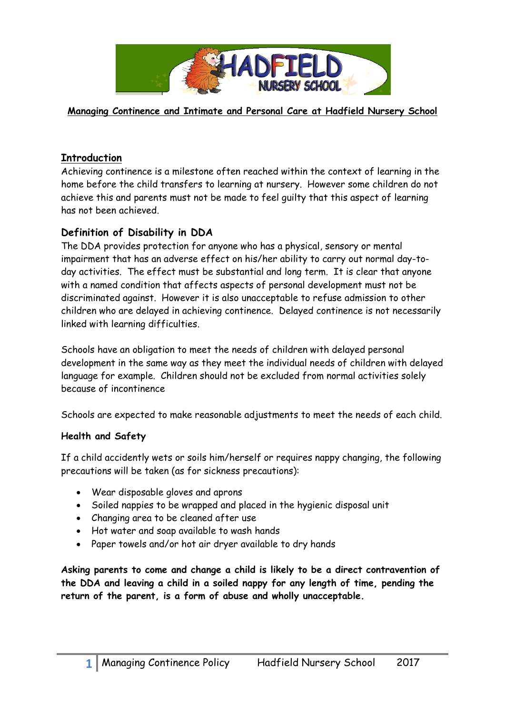

**Managing Continence and Intimate and Personal Care at Hadfield Nursery School**

### **Introduction**

Achieving continence is a milestone often reached within the context of learning in the home before the child transfers to learning at nursery. However some children do not achieve this and parents must not be made to feel guilty that this aspect of learning has not been achieved.

## **Definition of Disability in DDA**

The DDA provides protection for anyone who has a physical, sensory or mental impairment that has an adverse effect on his/her ability to carry out normal day-today activities. The effect must be substantial and long term. It is clear that anyone with a named condition that affects aspects of personal development must not be discriminated against. However it is also unacceptable to refuse admission to other children who are delayed in achieving continence. Delayed continence is not necessarily linked with learning difficulties.

Schools have an obligation to meet the needs of children with delayed personal development in the same way as they meet the individual needs of children with delayed language for example. Children should not be excluded from normal activities solely because of incontinence

Schools are expected to make reasonable adjustments to meet the needs of each child.

#### **Health and Safety**

If a child accidently wets or soils him/herself or requires nappy changing, the following precautions will be taken (as for sickness precautions):

- Wear disposable gloves and aprons
- Soiled nappies to be wrapped and placed in the hygienic disposal unit
- Changing area to be cleaned after use
- Hot water and soap available to wash hands
- Paper towels and/or hot air dryer available to dry hands

**Asking parents to come and change a child is likely to be a direct contravention of the DDA and leaving a child in a soiled nappy for any length of time, pending the return of the parent, is a form of abuse and wholly unacceptable.**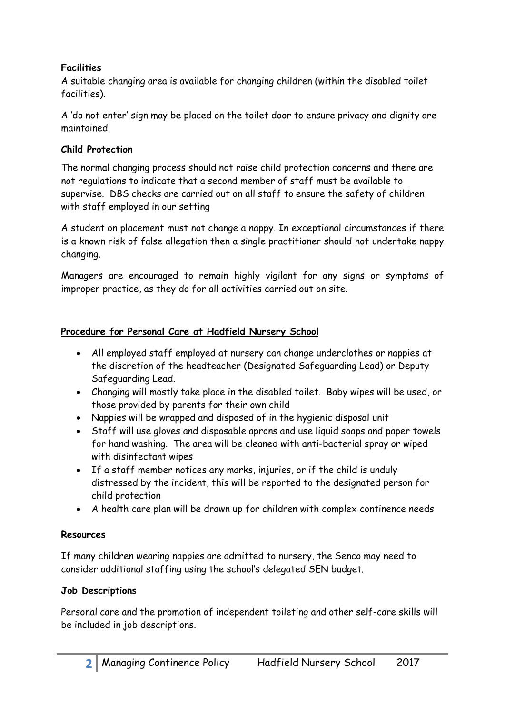## **Facilities**

A suitable changing area is available for changing children (within the disabled toilet facilities).

A 'do not enter' sign may be placed on the toilet door to ensure privacy and dignity are maintained.

### **Child Protection**

The normal changing process should not raise child protection concerns and there are not regulations to indicate that a second member of staff must be available to supervise. DBS checks are carried out on all staff to ensure the safety of children with staff employed in our setting

A student on placement must not change a nappy. In exceptional circumstances if there is a known risk of false allegation then a single practitioner should not undertake nappy changing.

Managers are encouraged to remain highly vigilant for any signs or symptoms of improper practice, as they do for all activities carried out on site.

#### **Procedure for Personal Care at Hadfield Nursery School**

- All employed staff employed at nursery can change underclothes or nappies at the discretion of the headteacher (Designated Safeguarding Lead) or Deputy Safeguarding Lead.
- Changing will mostly take place in the disabled toilet. Baby wipes will be used, or those provided by parents for their own child
- Nappies will be wrapped and disposed of in the hygienic disposal unit
- Staff will use gloves and disposable aprons and use liquid soaps and paper towels for hand washing. The area will be cleaned with anti-bacterial spray or wiped with disinfectant wipes
- If a staff member notices any marks, injuries, or if the child is unduly distressed by the incident, this will be reported to the designated person for child protection
- A health care plan will be drawn up for children with complex continence needs

#### **Resources**

If many children wearing nappies are admitted to nursery, the Senco may need to consider additional staffing using the school's delegated SEN budget.

#### **Job Descriptions**

Personal care and the promotion of independent toileting and other self-care skills will be included in job descriptions.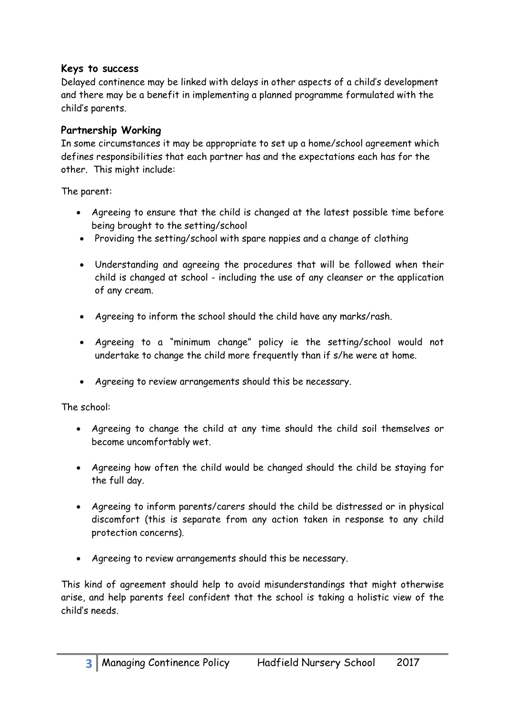### **Keys to success**

Delayed continence may be linked with delays in other aspects of a child's development and there may be a benefit in implementing a planned programme formulated with the child's parents.

## **Partnership Working**

In some circumstances it may be appropriate to set up a home/school agreement which defines responsibilities that each partner has and the expectations each has for the other. This might include:

The parent:

- Agreeing to ensure that the child is changed at the latest possible time before being brought to the setting/school
- Providing the setting/school with spare nappies and a change of clothing
- Understanding and agreeing the procedures that will be followed when their child is changed at school - including the use of any cleanser or the application of any cream.
- Agreeing to inform the school should the child have any marks/rash.
- Agreeing to a "minimum change" policy ie the setting/school would not undertake to change the child more frequently than if s/he were at home.
- Agreeing to review arrangements should this be necessary.

The school:

- Agreeing to change the child at any time should the child soil themselves or become uncomfortably wet.
- Agreeing how often the child would be changed should the child be staying for the full day.
- Agreeing to inform parents/carers should the child be distressed or in physical discomfort (this is separate from any action taken in response to any child protection concerns).
- Agreeing to review arrangements should this be necessary.

This kind of agreement should help to avoid misunderstandings that might otherwise arise, and help parents feel confident that the school is taking a holistic view of the child's needs.